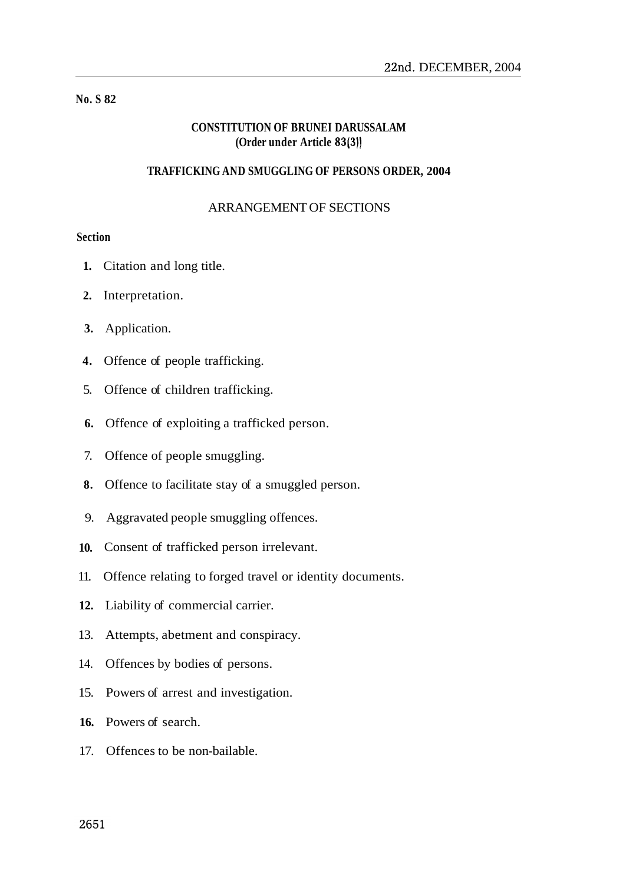# **No. S 82**

# **CONSTITUTION OF BRUNEI DARUSSALAM (Order under Article 83(3))**

## **TRAFFICKING AND SMUGGLING OF PERSONS ORDER, 2004**

## ARRANGEMENT OF SECTIONS

# **Section**

- **1.** Citation and long title.
- **2.** Interpretation.
- **3.** Application.
- **4.** Offence of people trafficking.
- 5. Offence of children trafficking.
- **6.** Offence of exploiting a trafficked person.
- 7. Offence of people smuggling.
- **8.** Offence to facilitate stay of a smuggled person.
- 9. Aggravated people smuggling offences.
- **10.** Consent of trafficked person irrelevant.
- 11. Offence relating to forged travel or identity documents.
- **12.** Liability of commercial carrier.
- 13. Attempts, abetment and conspiracy.
- 14. Offences by bodies of persons.
- 15. Powers of arrest and investigation.
- **16.** Powers of search.
- 17. Offences to be non-bailable.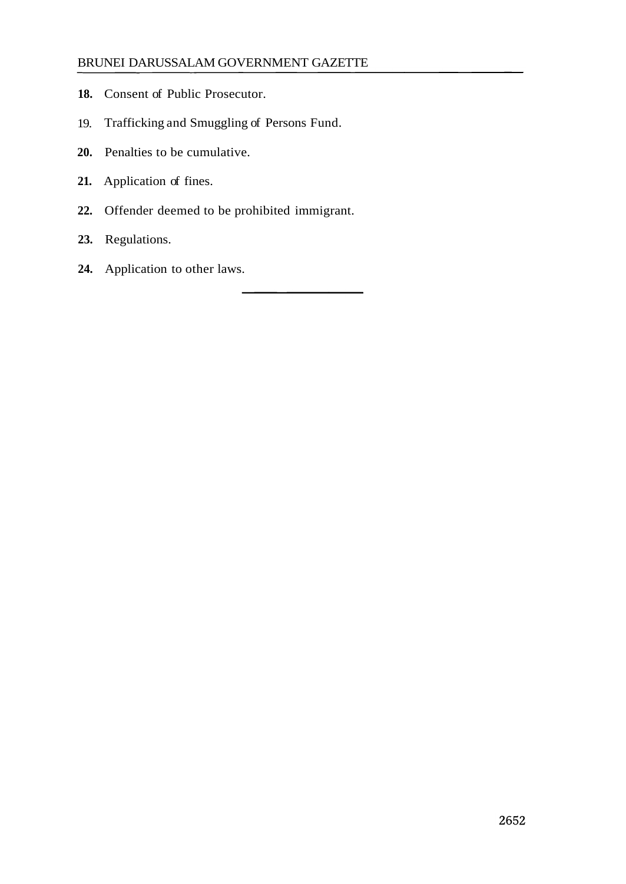- **18.** Consent of Public Prosecutor.
- 19. Trafficking and Smuggling of Persons Fund.
- **20.** Penalties to be cumulative.
- **21.** Application of fines.
- **22.** Offender deemed to be prohibited immigrant.
- **23.** Regulations.
- **24.** Application to other laws.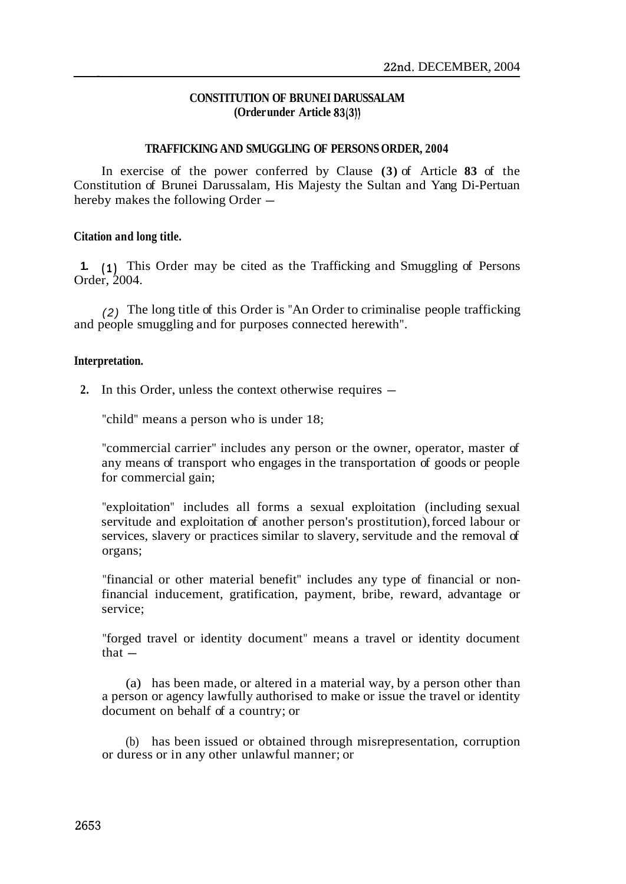# **CONSTITUTION OF BRUNEI DARUSSALAM (Order under Article 83(3))**

#### **TRAFFICKING AND SMUGGLING OF PERSONS ORDER, 2004**

In exercise of the power conferred by Clause **(3)** of Article **83** of the Constitution of Brunei Darussalam, His Majesty the Sultan and Yang Di-Pertuan hereby makes the following Order -

## **Citation and long title.**

**1. (1)** This Order may be cited as the Trafficking and Smuggling of Persons Order $2004$ 

(2) The long title of this Order is "An Order to criminalise people trafficking and people smuggling and for purposes connected herewith".

## **Interpretation.**

2. In this Order, unless the context otherwise requires  $-$ 

"child" means a person who is under 18;

"commercial carrier" includes any person or the owner, operator, master of any means of transport who engages in the transportation of goods or people for commercial gain;

"exploitation" includes all forms a sexual exploitation (including sexual servitude and exploitation of another person's prostitution), forced labour or services, slavery or practices similar to slavery, servitude and the removal of organs;

"financial or other material benefit" includes any type of financial or nonfinancial inducement, gratification, payment, bribe, reward, advantage or service;

"forged travel or identity document" means a travel or identity document that  $-$ 

(a) has been made, or altered in a material way, by a person other than a person or agency lawfully authorised to make or issue the travel or identity document on behalf of a country; or

(b) has been issued or obtained through misrepresentation, corruption or duress or in any other unlawful manner; or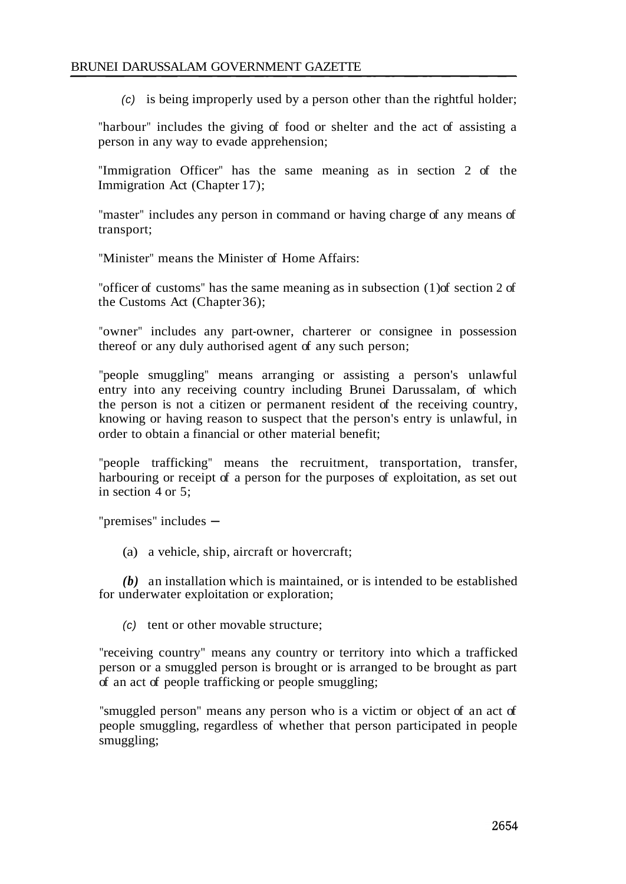(c) is being improperly used by a person other than the rightful holder;

"harbour" includes the giving of food or shelter and the act of assisting a person in any way to evade apprehension;

"Immigration Officer" has the same meaning as in section 2 of the Immigration Act (Chapter 17);

"master" includes any person in command or having charge of any means of transport;

"Minister" means the Minister of Home Affairs:

"officer of customs" has the same meaning as in subsection (1) of section 2 of the Customs Act (Chapter 36);

"owner" includes any part-owner, charterer or consignee in possession thereof or any duly authorised agent of any such person;

"people smuggling" means arranging or assisting a person's unlawful entry into any receiving country including Brunei Darussalam, of which the person is not a citizen or permanent resident of the receiving country, knowing or having reason to suspect that the person's entry is unlawful, in order to obtain a financial or other material benefit;

"people trafficking" means the recruitment, transportation, transfer, harbouring or receipt of a person for the purposes of exploitation, as set out in section 4 or 5;

" $premises$ " includes  $-$ 

(a) a vehicle, ship, aircraft or hovercraft;

*(b)* an installation which is maintained, or is intended to be established for underwater exploitation or exploration;

(c) tent or other movable structure;

"receiving country" means any country or territory into which a trafficked person or a smuggled person is brought or is arranged to be brought as part of an act of people trafficking or people smuggling;

"smuggled person" means any person who is a victim or object of an act of people smuggling, regardless of whether that person participated in people smuggling;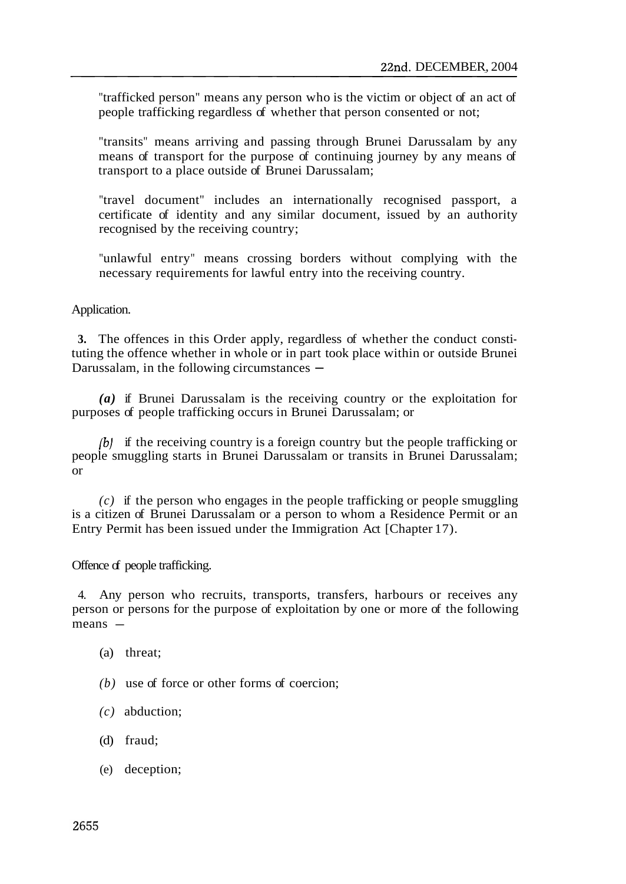"trafficked person" means any person who is the victim or object of an act of people trafficking regardless of whether that person consented or not;

"transits" means arriving and passing through Brunei Darussalam by any means of transport for the purpose of continuing journey by any means of transport to a place outside of Brunei Darussalam;

"travel document" includes an internationally recognised passport, a certificate of identity and any similar document, issued by an authority recognised by the receiving country;

"unlawful entry" means crossing borders without complying with the necessary requirements for lawful entry into the receiving country.

Application.

**3.** The offences in this Order apply, regardless of whether the conduct constituting the offence whether in whole or in part took place within or outside Brunei Darussalam, in the following circumstances —

*(a)* if Brunei Darussalam is the receiving country or the exploitation for purposes of people trafficking occurs in Brunei Darussalam; or

*(b)* if the receiving country is a foreign country but the people trafficking or people smuggling starts in Brunei Darussalam or transits in Brunei Darussalam; or

*(c)* if the person who engages in the people trafficking or people smuggling is a citizen of Brunei Darussalam or a person to whom a Residence Permit or an Entry Permit has been issued under the Immigration Act [Chapter 17).

Offence of people trafficking.

4. Any person who recruits, transports, transfers, harbours or receives any person or persons for the purpose of exploitation by one or more of the following means —

- (a) threat;
- *(b)* use of force or other forms of coercion;
- *(c)* abduction;
- (d) fraud;
- (e) deception;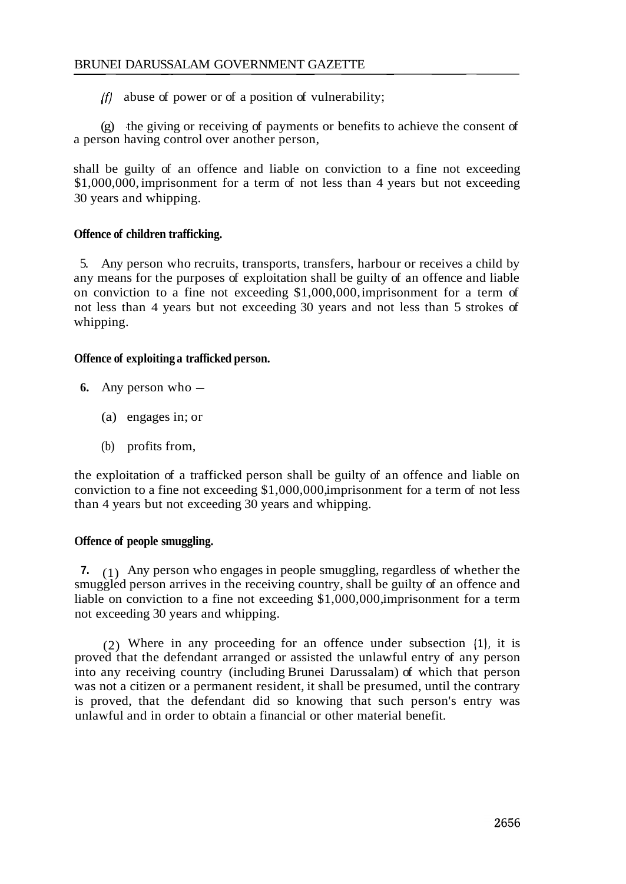$(f)$  abuse of power or of a position of vulnerability;

(g) -the giving or receiving of payments or benefits to achieve the consent of a person having control over another person,

shall be guilty of an offence and liable on conviction to a fine not exceeding \$1,000,000, imprisonment for a term of not less than 4 years but not exceeding 30 years and whipping.

# **Offence of children trafficking.**

5. Any person who recruits, transports, transfers, harbour or receives a child by any means for the purposes of exploitation shall be guilty of an offence and liable on conviction to a fine not exceeding \$1,000,000, imprisonment for a term of not less than 4 years but not exceeding 30 years and not less than 5 strokes of whipping.

## **Offence of exploiting a trafficked person.**

- 6. Any person who  $-$ 
	- (a) engages in; or
	- (b) profits from,

the exploitation of a trafficked person shall be guilty of an offence and liable on conviction to a fine not exceeding \$1,000,000, imprisonment for a term of not less than 4 years but not exceeding 30 years and whipping.

# **Offence of people smuggling.**

**7.** (1) Any person who engages in people smuggling, regardless of whether the smuggled person arrives in the receiving country, shall be guilty of an offence and liable on conviction to a fine not exceeding \$1,000,000, imprisonment for a term not exceeding 30 years and whipping.

(2) Where in any proceeding for an offence under subsection (I), it is proved that the defendant arranged or assisted the unlawful entry of any person into any receiving country (including Brunei Darussalam) of which that person was not a citizen or a permanent resident, it shall be presumed, until the contrary is proved, that the defendant did so knowing that such person's entry was unlawful and in order to obtain a financial or other material benefit.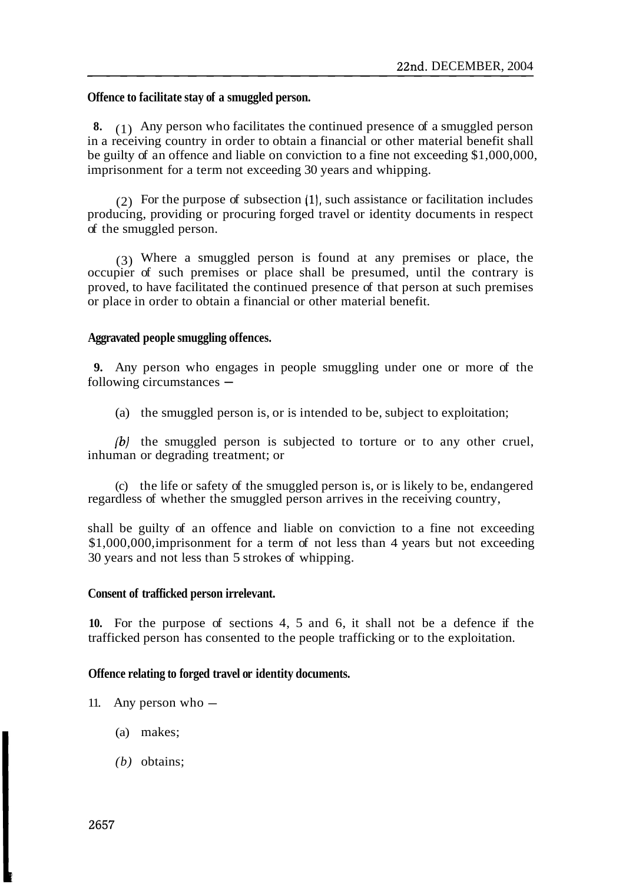#### **Offence to facilitate stay of a smuggled person.**

**8.** (1) Any person who facilitates the continued presence of a smuggled person in a receiving country in order to obtain a financial or other material benefit shall be guilty of an offence and liable on conviction to a fine not exceeding \$1,000,000, imprisonment for a term not exceeding 30 years and whipping.

(2) For the purpose of subsection  $(1)$ , such assistance or facilitation includes producing, providing or procuring forged travel or identity documents in respect of the smuggled person.

(3) Where a smuggled person is found at any premises or place, the occupier of such premises or place shall be presumed, until the contrary is proved, to have facilitated the continued presence of that person at such premises or place in order to obtain a financial or other material benefit.

#### **Aggravated people smuggling offences.**

**9.** Any person who engages in people smuggling under one or more of the following circumstances  $-$ 

(a) the smuggled person is, or is intended to be, subject to exploitation;

*(b)* the smuggled person is subjected to torture or to any other cruel, inhuman or degrading treatment; or

(c) the life or safety of the smuggled person is, or is likely to be, endangered regardless of whether the smuggled person arrives in the receiving country,

shall be guilty of an offence and liable on conviction to a fine not exceeding \$1,000,000, imprisonment for a term of not less than 4 years but not exceeding 30 years and not less than 5 strokes of whipping.

#### **Consent of trafficked person irrelevant.**

**10.** For the purpose of sections 4, 5 and 6, it shall not be a defence if the trafficked person has consented to the people trafficking or to the exploitation.

#### **Offence relating to forged travel or identity documents.**

- 11. Any person who  $-$ 
	- (a) makes;
	- *(b)* obtains;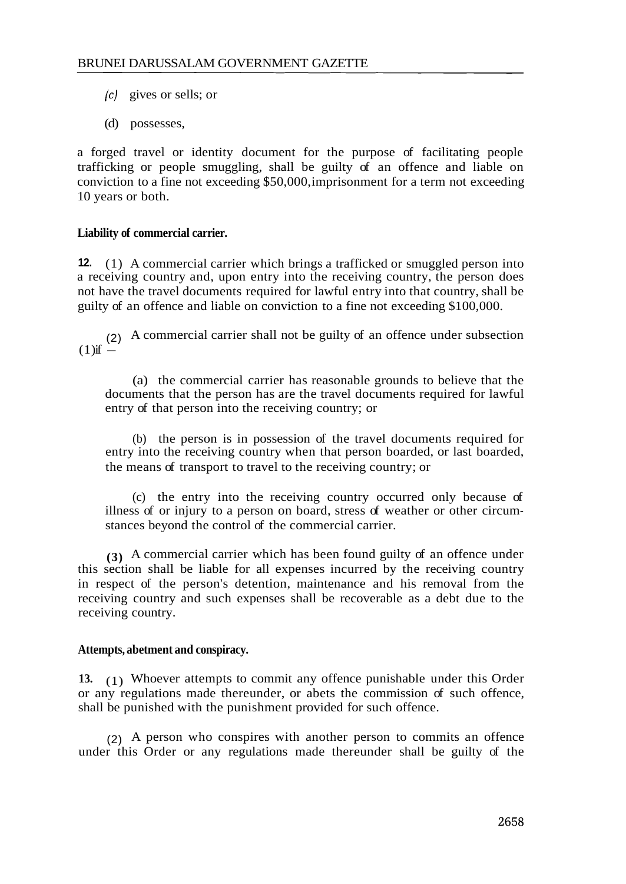- (c) gives or sells; or
- (d) possesses,

a forged travel or identity document for the purpose of facilitating people trafficking or people smuggling, shall be guilty of an offence and liable on conviction to a fine not exceeding \$50,000, imprisonment for a term not exceeding 10 years or both.

# **Liability of commercial carrier.**

**12.** (1) A commercial carrier which brings a trafficked or smuggled person into a receiving country and, upon entry into the receiving country, the person does not have the travel documents required for lawful entry into that country, shall be guilty of an offence and liable on conviction to a fine not exceeding \$100,000.

(2) A commercial carrier shall not be guilty of an offence under subsection  $(1)$  if  $-$ 

(a) the commercial carrier has reasonable grounds to believe that the documents that the person has are the travel documents required for lawful entry of that person into the receiving country; or

(b) the person is in possession of the travel documents required for entry into the receiving country when that person boarded, or last boarded, the means of transport to travel to the receiving country; or

(c) the entry into the receiving country occurred only because of illness of or injury to a person on board, stress of weather or other circumstances beyond the control of the commercial carrier.

**(3)** A commercial carrier which has been found guilty of an offence under this section shall be liable for all expenses incurred by the receiving country in respect of the person's detention, maintenance and his removal from the receiving country and such expenses shall be recoverable as a debt due to the receiving country.

# **Attempts, abetment and conspiracy.**

**13.** (1) Whoever attempts to commit any offence punishable under this Order or any regulations made thereunder, or abets the commission of such offence, shall be punished with the punishment provided for such offence.

(2) A person who conspires with another person to commits an offence under this Order or any regulations made thereunder shall be guilty of the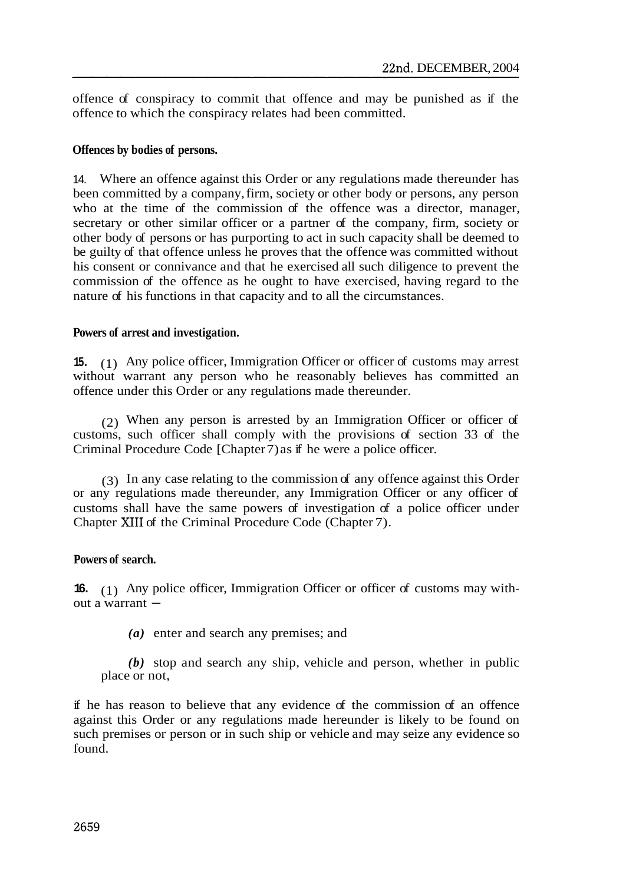offence of conspiracy to commit that offence and may be punished as if the offence to which the conspiracy relates had been committed.

#### **Offences by bodies of persons.**

14. Where an offence against this Order or any regulations made thereunder has been committed by a company, firm, society or other body or persons, any person who at the time of the commission of the offence was a director, manager, secretary or other similar officer or a partner of the company, firm, society or other body of persons or has purporting to act in such capacity shall be deemed to be guilty of that offence unless he proves that the offence was committed without his consent or connivance and that he exercised all such diligence to prevent the commission of the offence as he ought to have exercised, having regard to the nature of his functions in that capacity and to all the circumstances.

## **Powers of arrest and investigation.**

**15.** (1) Any police officer, Immigration Officer or officer of customs may arrest without warrant any person who he reasonably believes has committed an offence under this Order or any regulations made thereunder.

(2) When any person is arrested by an Immigration Officer or officer of customs, such officer shall comply with the provisions of section 33 of the Criminal Procedure Code [Chapter 7) as if he were a police officer.

(3) In any case relating to the commission of any offence against this Order or any regulations made thereunder, any Immigration Officer or any officer of customs shall have the same powers of investigation of a police officer under Chapter XI11 of the Criminal Procedure Code (Chapter 7).

# **Powers of search.**

**16.** (1) Any police officer, Immigration Officer or officer of customs may with-<br>out a warrant  $-$ 

*(a)* enter and search any premises; and

*(b)* stop and search any ship, vehicle and person, whether in public place or not,

if he has reason to believe that any evidence of the commission of an offence against this Order or any regulations made hereunder is likely to be found on such premises or person or in such ship or vehicle and may seize any evidence so found.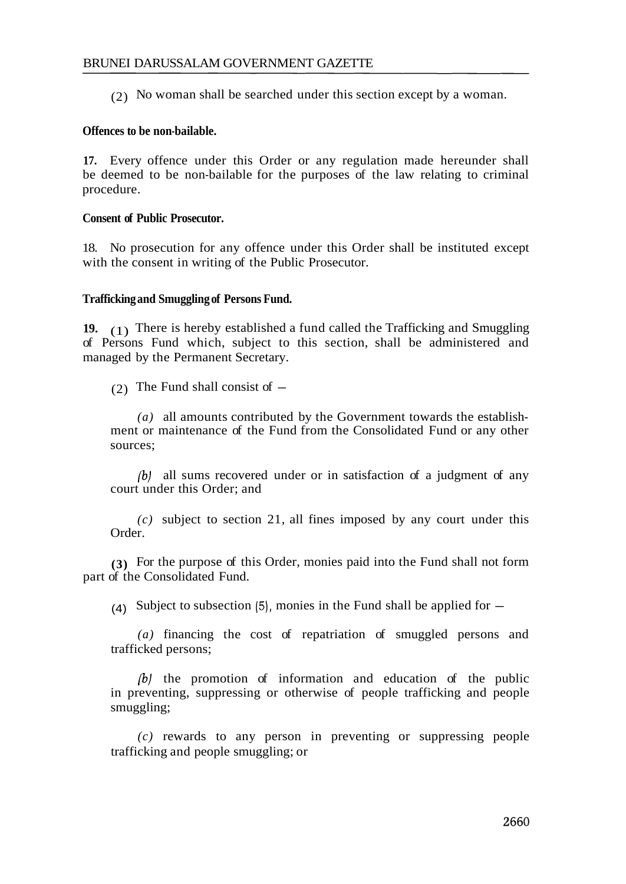(2) No woman shall be searched under this section except by a woman.

# **Offences to be non-bailable.**

**17.** Every offence under this Order or any regulation made hereunder shall be deemed to be non-bailable for the purposes of the law relating to criminal procedure.

## **Consent of Public Prosecutor.**

18. No prosecution for any offence under this Order shall be instituted except with the consent in writing of the Public Prosecutor.

## **Trafficking and Smuggling of Persons Fund.**

**19.** (1) There is hereby established a fund called the Trafficking and Smuggling of Persons Fund which, subject to this section, shall be administered and managed by the Permanent Secretary.

(2) The Fund shall consist of  $-$ 

*(a)* all amounts contributed by the Government towards the establishment or maintenance of the Fund from the Consolidated Fund or any other sources;

*(b)* all sums recovered under or in satisfaction of a judgment of any court under this Order; and

*(c)* subject to section 21, all fines imposed by any court under this Order.

**(3)** For the purpose of this Order, monies paid into the Fund shall not form part of the Consolidated Fund.

(4) Subject to subsection (5), monies in the Fund shall be applied for  $-$ 

*(a)* financing the cost of repatriation of smuggled persons and trafficked persons;

*(b)* the promotion of information and education of the public in preventing, suppressing or otherwise of people trafficking and people smuggling;

*(c)* rewards to any person in preventing or suppressing people trafficking and people smuggling; or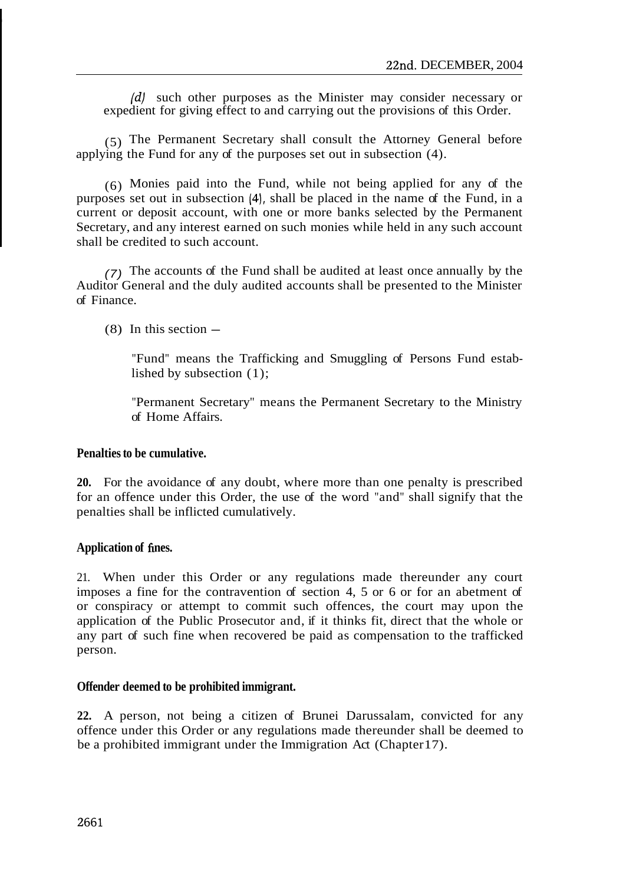*(dl* such other purposes as the Minister may consider necessary or expedient for giving effect to and carrying out the provisions of this Order.

(5) The Permanent Secretary shall consult the Attorney General before applying the Fund for any of the purposes set out in subsection (4).

(6) Monies paid into the Fund, while not being applied for any of the purposes set out in subsection (4), shall be placed in the name of the Fund, in a current or deposit account, with one or more banks selected by the Permanent Secretary, and any interest earned on such monies while held in any such account shall be credited to such account.

(7) The accounts of the Fund shall be audited at least once annually by the Auditor General and the duly audited accounts shall be presented to the Minister of Finance.

 $(8)$  In this section  $-$ 

"Fund" means the Trafficking and Smuggling of Persons Fund established by subsection (1);

"Permanent Secretary" means the Permanent Secretary to the Ministry of Home Affairs.

#### **Penalties to be cumulative.**

**20.** For the avoidance of any doubt, where more than one penalty is prescribed for an offence under this Order, the use of the word "and" shall signify that the penalties shall be inflicted cumulatively.

#### Application of fines.

21. When under this Order or any regulations made thereunder any court imposes a fine for the contravention of section 4, 5 or 6 or for an abetment of or conspiracy or attempt to commit such offences, the court may upon the application of the Public Prosecutor and, if it thinks fit, direct that the whole or any part of such fine when recovered be paid as compensation to the trafficked person.

#### **Offender deemed to be prohibited immigrant.**

**22.** A person, not being a citizen of Brunei Darussalam, convicted for any offence under this Order or any regulations made thereunder shall be deemed to be a prohibited immigrant under the Immigration Act (Chapter 17).